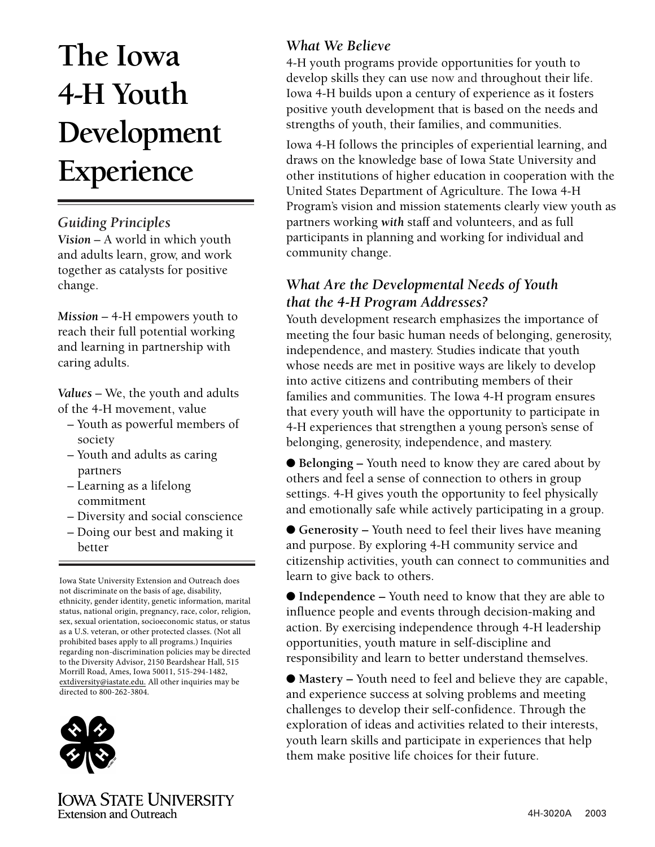# **The Iowa 4-H Youth Development Experience**

#### *Guiding Principles*

*Vision* – A world in which youth and adults learn, grow, and work together as catalysts for positive change.

*Mission* – 4-H empowers youth to reach their full potential working and learning in partnership with caring adults.

*Values* – We, the youth and adults of the 4-H movement, value

- Youth as powerful members of society
- Youth and adults as caring partners
- Learning as a lifelong commitment
- Diversity and social conscience
- Doing our best and making it better

 Iowa State University Extension and Outreach does not discriminate on the basis of age, disability, ethnicity, gender identity, genetic information, marital status, national origin, pregnancy, race, color, religion, sex, sexual orientation, socioeconomic status, or status as a U.S. veteran, or other protected classes. (Not all prohibited bases apply to all programs.) Inquiries regarding non-discrimination policies may be directed to the Diversity Advisor, 2150 Beardshear Hall, 515 Morrill Road, Ames, Iowa 50011, 515-294-1482, [extdiversity@iastate.edu.](mailto:extdiversity@iastate.edu) All other inquiries may be directed to 800-262-3804.



### *What We Believe*

4-H youth programs provide opportunities for youth to develop skills they can use now and throughout their life. Iowa 4-H builds upon a century of experience as it fosters positive youth development that is based on the needs and strengths of youth, their families, and communities.

Iowa 4-H follows the principles of experiential learning, and draws on the knowledge base of Iowa State University and other institutions of higher education in cooperation with the United States Department of Agriculture. The Iowa 4-H Program's vision and mission statements clearly view youth as partners working *with* staff and volunteers, and as full participants in planning and working for individual and community change.

#### *What Are the Developmental Needs of Youth that the 4-H Program Addresses?*

Youth development research emphasizes the importance of meeting the four basic human needs of belonging, generosity, independence, and mastery. Studies indicate that youth whose needs are met in positive ways are likely to develop into active citizens and contributing members of their families and communities. The Iowa 4-H program ensures that every youth will have the opportunity to participate in 4-H experiences that strengthen a young person's sense of belonging, generosity, independence, and mastery.

● **Belonging –** Youth need to know they are cared about by others and feel a sense of connection to others in group settings. 4-H gives youth the opportunity to feel physically and emotionally safe while actively participating in a group.

● **Generosity –** Youth need to feel their lives have meaning and purpose. By exploring 4-H community service and citizenship activities, youth can connect to communities and learn to give back to others.

● **Independence –** Youth need to know that they are able to influence people and events through decision-making and action. By exercising independence through 4-H leadership opportunities, youth mature in self-discipline and responsibility and learn to better understand themselves.

● **Mastery** – Youth need to feel and believe they are capable, and experience success at solving problems and meeting challenges to develop their self-confidence. Through the exploration of ideas and activities related to their interests, youth learn skills and participate in experiences that help them make positive life choices for their future.